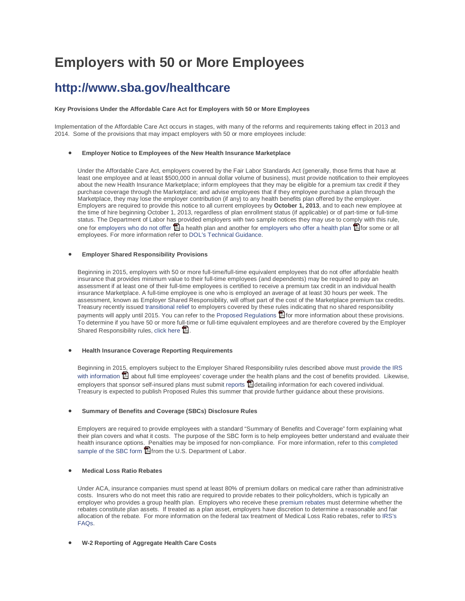# **Employers with 50 or More Employees**

### **<http://www.sba.gov/healthcare>**

#### **Key Provisions Under the Affordable Care Act for Employers with 50 or More Employees**

Implementation of the Affordable Care Act occurs in stages, with many of the reforms and requirements taking effect in 2013 and 2014. Some of the provisions that may impact employers with 50 or more employees include:

#### • **Employer Notice to Employees of the New Health Insurance Marketplace**

Under the Affordable Care Act, employers covered by the Fair Labor Standards Act (generally, those firms that have at least one employee and at least \$500,000 in annual dollar volume of business), must provide notification to their employees about the new Health Insurance Marketplace; inform employees that they may be eligible for a premium tax credit if they purchase coverage through the Marketplace; and advise employees that if they employee purchase a plan through the Marketplace, they may lose the employer contribution (if any) to any health benefits plan offered by the employer. Employers are required to provide this notice to all current employees by **October 1, 2013**, and to each new employee at the time of hire beginning October 1, 2013, regardless of plan enrollment status (if applicable) or of part-time or full-time status. The Department of Labor h[as p](http://www.adobe.com/products/acrobat/readstep2.html)rovided employers with two sample notices they may use to co[mply](http://www.adobe.com/products/acrobat/readstep2.html) with this rule, one for [employers who do not offer](http://www.dol.gov/ebsa/pdf/FLSAwithoutplans.pdf)  $\Box$  [a](http://www.adobe.com/products/acrobat/readstep2.html) health plan and another fo[r employers who offer a health plan](http://www.dol.gov/ebsa/pdf/FLSAwithplans.pdf)  $\Box$  [f](http://www.adobe.com/products/acrobat/readstep2.html)or some or all employees. For more information refer to [DOL's Technical Guidance.](http://www.dol.gov/ebsa/newsroom/tr13-02.html)

#### • **Employer Shared Responsibility Provisions**

Beginning in 2015, employers with 50 or more full-time/full-time equivalent employees that do not offer affordable health insurance that provides minimum value to their full-time employees (and dependents) may be required to pay an assessment if at least one of their full-time employees is certified to receive a premium tax credit in an individual health insurance Marketplace. A full-time employee is one who is employed an average of at least 30 hours per week. The assessment, known as Employer Shared Responsibility, will offset part of the cost of the Marketplace premium tax credits. Treasury recently issue[d transitional relief](http://www.irs.gov/pub/irs-drop/n-13-45.PDF) to employers covered by these rules indicating that no shared responsibility payments will apply until 2015. You can refer to th[e Proposed Regulations](http://www.irs.gov/pub/newsroom/reg-138006-12.pdf) **[fo](http://www.adobe.com/products/acrobat/readstep2.html)r** more information about these provisions. To determine if you have 50 or more full-time or full-time equivalent employees and are therefore covered by the Employer Shared Responsibility rules[, click here](http://www.sba.gov/sites/default/files/files/Slides_re_Calculating_FTEs_for_Employer_Shared_Responsibility_(August%202013).pdf)  $\mathbb{E}$ [.](http://www.adobe.com/products/acrobat/readstep2.html)

#### • **Health Insurance Coverage Reporting Requirements**

Beginning in 20[15, e](http://www.adobe.com/products/acrobat/readstep2.html)mployers subject to the Employer Shared Responsibility rules described above must [provide the IRS](http://www.irs.gov/pub/irs-drop/n-12-33.pdf)  [with information](http://www.irs.gov/pub/irs-drop/n-12-33.pdf)  $\Box$  about full time employees' coverage under the health plans and the cost of benefits provided. Likewise, employers that sponsor self-insured plans must submit [reports](http://www.irs.gov/pub/irs-drop/n-12-32.pdf)  $\Box$  [d](http://www.adobe.com/products/acrobat/readstep2.html)etailing information for each covered individual. Treasury is expected to publish Proposed Rules this summer that provide further guidance about these provisions.

#### • **Summary of Benefits and Coverage (SBCs) Disclosure Rules**

Employers are required to provide employees with a standard "Summary of Benefits and Coverage" form explaining what their plan covers and what it costs. The purpose of the SBC form is to help employees better understand and evaluate their health insurance options. Penalties may be imposed for non-compliance. For more information, refer to this [completed](http://www.dol.gov/ebsa/pdf/CorrectedSampleCompletedSBC.pdf)  [sample of the SBC form](http://www.dol.gov/ebsa/pdf/CorrectedSampleCompletedSBC.pdf)  $\Box$  [fr](http://www.adobe.com/products/acrobat/readstep2.html)om the U.S. Department of Labor.

#### • **Medical Loss Ratio Rebates**

Under ACA, insurance companies must spend at least 80% of premium dollars on medical care rather than administrative costs. Insurers who do not meet this ratio are required to provide rebates to their policyholders, which is typically an employer who provides a group health plan. Employers who receive thes[e premium rebates](http://www.dol.gov/ebsa/newsroom/tr11-04.html#.UPBjaeRlH_8) must determine whether the rebates constitute plan assets. If treated as a plan asset, employers have discretion to determine a reasonable and fair allocation of the rebate. For more information on the federal tax treatment of Medical Loss Ratio rebates, refer to [IRS's](http://www.irs.gov/uac/Medical-Loss-Ratio-(MLR)-FAQs)  [FAQs.](http://www.irs.gov/uac/Medical-Loss-Ratio-(MLR)-FAQs)

#### • **W-2 Reporting of Aggregate Health Care Costs**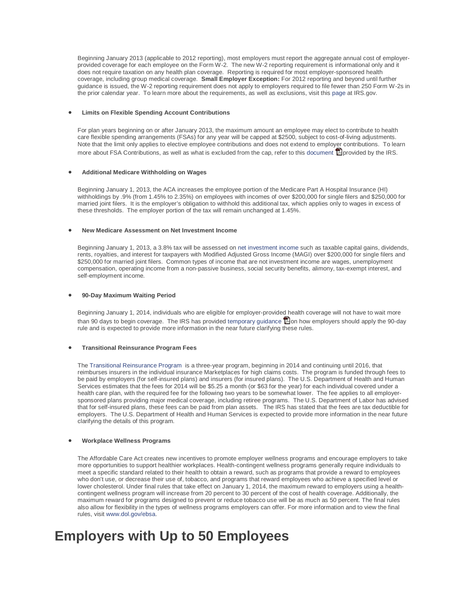Beginning January 2013 (applicable to 2012 reporting), most employers must report the aggregate annual cost of employerprovided coverage for each employee on the Form W-2. The new W-2 reporting requirement is informational only and it does not require taxation on any health plan coverage. Reporting is required for most employer-sponsored health coverage, including group medical coverage. **Small Employer Exception:** For 2012 reporting and beyond until further guidance is issued, the W-2 reporting requirement does not apply to employers required to file fewer than 250 Form W-2s in the prior calendar year. To learn more about the requirements, as well as exclusions, visit this [page](http://www.irs.gov/uac/Form-W-2-Reporting-of-Employer-Sponsored-Health-Coverage) at IRS.gov.

#### • **Limits on Flexible Spending Account Contributions**

For plan years beginning on or after January 2013, the maximum amount an employee may elect to contribute to health care flexible spending arrangements (FSAs) for any year will be capped at \$2500, subject to cost-of-living adjustments. Note that the limit only applies to elective employee contributions and does not extend to employer contributions. To learn more about FSA Contributions, as well as what is excluded from the cap, refer to this [document](http://www.irs.gov/pub/irs-drop/n-12-40.pdf)  $\Box$  [p](http://www.adobe.com/products/acrobat/readstep2.html)rovided by the IRS.

#### • **Additional Medicare Withholding on Wages**

Beginning January 1, 2013, the ACA increases the employee portion of the Medicare Part A Hospital Insurance (HI) withholdings by .9% (from 1.45% to 2.35%) on employees with incomes of over \$200,000 for single filers and \$250,000 for married joint filers. It is the employer's obligation to withhold this additional tax, which applies only to wages in excess of these thresholds. The employer portion of the tax will remain unchanged at 1.45%.

#### • **New Medicare Assessment on Net Investment Income**

Beginning January 1, 2013, a 3.8% tax will be assessed o[n net investment income](http://www.irs.gov/uac/Newsroom/Net-Investment-Income-Tax-FAQs) such as taxable capital gains, dividends, rents, royalties, and interest for taxpayers with Modified Adjusted Gross Income (MAGI) over \$200,000 for single filers and \$250,000 for married joint filers. Common types of income that are not investment income are wages, unemployment compensation, operating income from a non-passive business, social security benefits, alimony, tax-exempt interest, and self-employment income.

#### • **90-Day Maximum Waiting Period**

Beginning January 1, 2014, individuals who are eligible for employer-provided health coverage will not have to wait more than 90 days to begin coverage. The IRS has provided [temporary guidance](http://www.irs.gov/pub/irs-drop/n-12-59.pdf)  $\Box$  $\Box$  $\Box$  on how employers should apply the 90-day rule and is expected to provide more information in the near future clarifying these rules.

#### • **Transitional Reinsurance Program Fees**

The [Transitional Reinsurance Program](http://www.irs.gov/uac/Newsroom/ACA-Section-1341-Transitional-Reinsurance-Program-FAQs) is a three-year program, beginning in 2014 and continuing until 2016, that reimburses insurers in the individual insurance Marketplaces for high claims costs. The program is funded through fees to be paid by employers (for self-insured plans) and insurers (for insured plans). The U.S. Department of Health and Human Services estimates that the fees for 2014 will be \$5.25 a month (or \$63 for the year) for each individual covered under a health care plan, with the required fee for the following two years to be somewhat lower. The fee applies to all employersponsored plans providing major medical coverage, including retiree programs. The U.S. Department of Labor has advised that for self-insured plans, these fees can be paid from plan assets. The IRS has stated that the fees are tax deductible for employers. The U.S. Department of Health and Human Services is expected to provide more information in the near future clarifying the details of this program.

#### • **Workplace Wellness Programs**

The Affordable Care Act creates new incentives to promote employer wellness programs and encourage employers to take more opportunities to support healthier workplaces. Health-contingent wellness programs generally require individuals to meet a specific standard related to their health to obtain a reward, such as programs that provide a reward to employees who don't use, or decrease their use of, tobacco, and programs that reward employees who achieve a specified level or lower cholesterol. Under final rules that take effect on January 1, 2014, the maximum reward to employers using a healthcontingent wellness program will increase from 20 percent to 30 percent of the cost of health coverage. Additionally, the maximum reward for programs designed to prevent or reduce tobacco use will be as much as 50 percent. The final rules also allow for flexibility in the types of wellness programs employers can offer. For more information and to view the final rules, visit [www.dol.gov/ebsa.](http://www.dol.gov/ebsa)

## **Employers with Up to 50 Employees**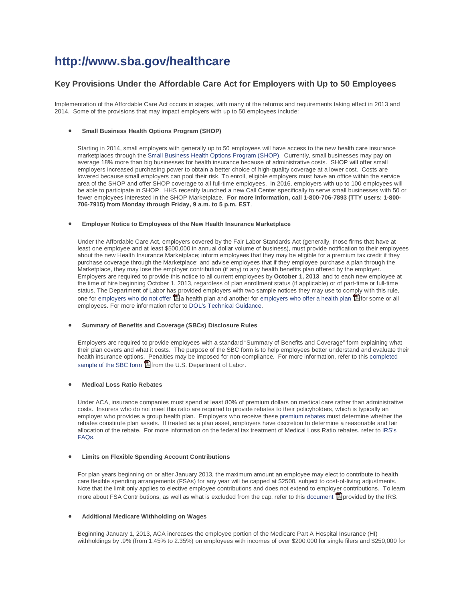### **<http://www.sba.gov/healthcare>**

#### **Key Provisions Under the Affordable Care Act for Employers with Up to 50 Employees**

Implementation of the Affordable Care Act occurs in stages, with many of the reforms and requirements taking effect in 2013 and 2014. Some of the provisions that may impact employers with up to 50 employees include:

#### • **Small Business Health Options Program (SHOP)**

Starting in 2014, small employers with generally up to 50 employees will have access to the new health care insurance marketplaces through th[e Small Business Health Options Program \(SHOP\).](https://www.healthcare.gov/marketplace/shop) Currently, small businesses may pay on average 18% more than big businesses for health insurance because of administrative costs. SHOP will offer small employers increased purchasing power to obtain a better choice of high-quality coverage at a lower cost. Costs are lowered because small employers can pool their risk. To enroll, eligible employers must have an office within the service area of the SHOP and offer SHOP coverage to all full-time employees. In 2016, employers with up to 100 employees will be able to participate in SHOP. HHS recently launched a new Call Center specifically to serve small businesses with 50 or fewer employees interested in the SHOP Marketplace. **For more information, call 1-800-706-7893 (TTY users: 1-800- 706-7915) from Monday through Friday, 9 a.m. to 5 p.m. EST**.

#### • **Employer Notice to Employees of the New Health Insurance Marketplace**

Under the Affordable Care Act, employers covered by the Fair Labor Standards Act (generally, those firms that have at least one employee and at least \$500,000 in annual dollar volume of business), must provide notification to their employees about the new Health Insurance Marketplace; inform employees that they may be eligible for a premium tax credit if they purchase coverage through the Marketplace; and advise employees that if they employee purchase a plan through the Marketplace, they may lose the employer contribution (if any) to any health benefits plan offered by the employer. Employers are required to provide this notice to all current employees by **October 1, 2013**, and to each new employee at the time of hire beginning October 1, 2013, regardless of plan enrollment status (if applicable) or of part-time or full-time status. The Department of Labor h[as p](http://www.adobe.com/products/acrobat/readstep2.html)rovided employers with two sample notices they may use to co[mply](http://www.adobe.com/products/acrobat/readstep2.html) with this rule, one for [employers who do not offer](http://www.dol.gov/ebsa/pdf/FLSAwithoutplans.pdf)  $\Box$  [a](http://www.adobe.com/products/acrobat/readstep2.html) health plan and another fo[r employers who offer a health plan](http://www.dol.gov/ebsa/pdf/FLSAwithplans.pdf)  $\Box$  [f](http://www.adobe.com/products/acrobat/readstep2.html)or some or all employees. For more information refer to [DOL's Technical Guidance.](http://www.dol.gov/ebsa/newsroom/tr13-02.html)

#### • **Summary of Benefits and Coverage (SBCs) Disclosure Rules**

Employers are required to provide employees with a standard "Summary of Benefits and Coverage" form explaining what their plan covers and what it costs. The purpose of the SBC form is to help employees better understand and evaluate their health insurance options. Penalties may be imposed for non-compliance. For more information, refer to this [completed](http://www.dol.gov/ebsa/pdf/CorrectedSampleCompletedSBC.pdf)  [sample of the SBC form](http://www.dol.gov/ebsa/pdf/CorrectedSampleCompletedSBC.pdf)  $H$  [fr](http://www.adobe.com/products/acrobat/readstep2.html)om the U.S. Department of Labor.

#### • **Medical Loss Ratio Rebates**

Under ACA, insurance companies must spend at least 80% of premium dollars on medical care rather than administrative costs. Insurers who do not meet this ratio are required to provide rebates to their policyholders, which is typically an employer who provides a group health plan. Employers who receive thes[e premium rebates](http://www.dol.gov/ebsa/newsroom/tr11-04.html#.UPBjaeRlH_8) must determine whether the rebates constitute plan assets. If treated as a plan asset, employers have discretion to determine a reasonable and fair allocation of the rebate. For more information on the federal tax treatment of Medical Loss Ratio rebates, refer to [IRS's](http://www.irs.gov/uac/Medical-Loss-Ratio-(MLR)-FAQs)  [FAQs.](http://www.irs.gov/uac/Medical-Loss-Ratio-(MLR)-FAQs)

#### • **Limits on Flexible Spending Account Contributions**

For plan years beginning on or after January 2013, the maximum amount an employee may elect to contribute to health care flexible spending arrangements (FSAs) for any year will be capped at \$2500, subject to cost-of-living adjustments. Note that the limit only applies to elective employee contributions and does not extend to employer contributions. To learn more about FSA Contributions, as well as what is excluded from the cap, refer to this [document](http://www.irs.gov/pub/irs-drop/n-12-40.pdf)  $\Box$  [p](http://www.adobe.com/products/acrobat/readstep2.html)rovided by the IRS.

#### • **Additional Medicare Withholding on Wages**

Beginning January 1, 2013, ACA increases the employee portion of the Medicare Part A Hospital Insurance (HI) withholdings by .9% (from 1.45% to 2.35%) on employees with incomes of over \$200,000 for single filers and \$250,000 for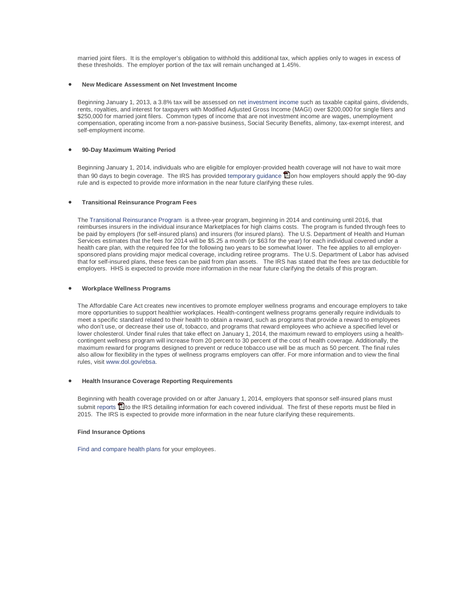married joint filers. It is the employer's obligation to withhold this additional tax, which applies only to wages in excess of these thresholds. The employer portion of the tax will remain unchanged at 1.45%.

#### • **New Medicare Assessment on Net Investment Income**

Beginning January 1, 2013, a 3.8% tax will be assessed o[n net investment income](http://www.irs.gov/uac/Newsroom/Net-Investment-Income-Tax-FAQs) such as taxable capital gains, dividends, rents, royalties, and interest for taxpayers with Modified Adjusted Gross Income (MAGI) over \$200,000 for single filers and \$250,000 for married joint filers. Common types of income that are not investment income are wages, unemployment compensation, operating income from a non-passive business, Social Security Benefits, alimony, tax-exempt interest, and self-employment income.

#### • **90-Day Maximum Waiting Period**

Beginning January 1, 2014, individuals who are eligible for employer-provide[d h](http://www.adobe.com/products/acrobat/readstep2.html)ealth coverage will not have to wait more than 90 days to begin coverage. The IRS has provided [temporary guidance](http://www.irs.gov/pub/irs-drop/n-12-59.pdf)  $\Box$  $\Box$  $\Box$  on how employers should apply the 90-day rule and is expected to provide more information in the near future clarifying these rules.

#### • **Transitional Reinsurance Program Fees**

The [Transitional Reinsurance Program](http://www.irs.gov/uac/Newsroom/ACA-Section-1341-Transitional-Reinsurance-Program-FAQs) is a three-year program, beginning in 2014 and continuing until 2016, that reimburses insurers in the individual insurance Marketplaces for high claims costs. The program is funded through fees to be paid by employers (for self-insured plans) and insurers (for insured plans). The U.S. Department of Health and Human Services estimates that the fees for 2014 will be \$5.25 a month (or \$63 for the year) for each individual covered under a health care plan, with the required fee for the following two years to be somewhat lower. The fee applies to all employersponsored plans providing major medical coverage, including retiree programs. The U.S. Department of Labor has advised that for self-insured plans, these fees can be paid from plan assets. The IRS has stated that the fees are tax deductible for employers. HHS is expected to provide more information in the near future clarifying the details of this program.

#### • **Workplace Wellness Programs**

The Affordable Care Act creates new incentives to promote employer wellness programs and encourage employers to take more opportunities to support healthier workplaces. Health-contingent wellness programs generally require individuals to meet a specific standard related to their health to obtain a reward, such as programs that provide a reward to employees who don't use, or decrease their use of, tobacco, and programs that reward employees who achieve a specified level or lower cholesterol. Under final rules that take effect on January 1, 2014, the maximum reward to employers using a healthcontingent wellness program will increase from 20 percent to 30 percent of the cost of health coverage. Additionally, the maximum reward for programs designed to prevent or reduce tobacco use will be as much as 50 percent. The final rules also allow for flexibility in the types of wellness programs employers can offer. For more information and to view the final rules, visit [www.dol.gov/ebsa.](http://www.dol.gov/ebsa)

#### • **Health Insurance Coverage Reporting Requirements**

Beginning with health coverage provided on or after January 1, 2014, employers that sponsor self-insured plans must submit [reports](http://www.irs.gov/pub/irs-drop/n-12-32.pdf)  $\Box$  [t](http://www.adobe.com/products/acrobat/readstep2.html)o the IRS detailing information for each covered individual. The first of these reports must be filed in 2015. The IRS is expected to provide more information in the near future clarifying these requirements.

#### **Find Insurance Options**

[Find and compare health plans](http://finder.healthcare.gov/) for your employees.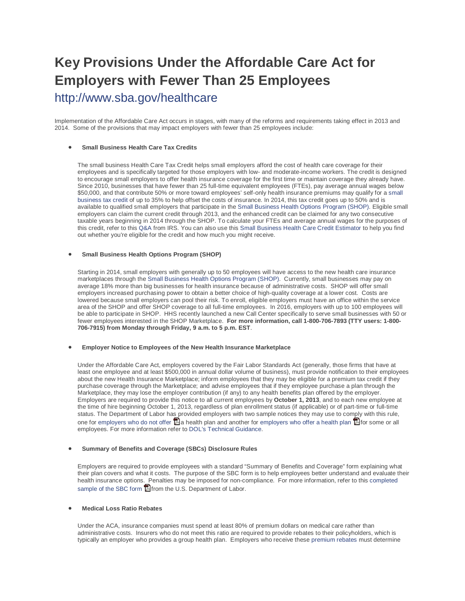# **Key Provisions Under the Affordable Care Act for Employers with Fewer Than 25 Employees**

<http://www.sba.gov/healthcare>

Implementation of the Affordable Care Act occurs in stages, with many of the reforms and requirements taking effect in 2013 and 2014. Some of the provisions that may impact employers with fewer than 25 employees include:

#### • **Small Business Health Care Tax Credits**

The small business Health Care Tax Credit helps small employers afford the cost of health care coverage for their employees and is specifically targeted for those employers with low- and moderate-income workers. The credit is designed to encourage small employers to offer health insurance coverage for the first time or maintain coverage they already have. Since 2010, businesses that have fewer than 25 full-time equivalent employees (FTEs), pay average annual wages below \$50,000, and that contribute 50% or more toward employees' self-only health insurance premiums may qualify for a [small](https://www.healthcare.gov/will-i-qualify-for-small-business-health-care-tax-credits)  [business tax credit](https://www.healthcare.gov/will-i-qualify-for-small-business-health-care-tax-credits) of up to 35% to help offset the costs of insurance. In 2014, this tax credit goes up to 50% and is available to qualified small employers that participate in th[e Small Business Health Options Program \(SHOP\).](https://www.healthcare.gov/marketplace/shop) Eligible small employers can claim the current credit through 2013, and the enhanced credit can be claimed for any two consecutive taxable years beginning in 2014 through the SHOP. To calculate your FTEs and average annual wages for the purposes of this credit, refer to this [Q&A](http://www.irs.gov/uac/Small-Business-Health-Care-Tax-Credit-Questions-and-Answers:-Determining-FTEs-and-Average-Annual-Wages) from IRS. You can also use thi[s Small Business Health Care Credit Estimator](http://www.taxpayeradvocate.irs.gov/calculator/SBHCTC.htm) to help you find out whether you're eligible for the credit and how much you might receive.

#### • **Small Business Health Options Program (SHOP)**

Starting in 2014, small employers with generally up to 50 employees will have access to the new health care insurance marketplaces through th[e Small Business Health Options Program \(SHOP\).](https://www.healthcare.gov/marketplace/shop) Currently, small businesses may pay on average 18% more than big businesses for health insurance because of administrative costs. SHOP will offer small employers increased purchasing power to obtain a better choice of high-quality coverage at a lower cost. Costs are lowered because small employers can pool their risk. To enroll, eligible employers must have an office within the service area of the SHOP and offer SHOP coverage to all full-time employees. In 2016, employers with up to 100 employees will be able to participate in SHOP. HHS recently launched a new Call Center specifically to serve small businesses with 50 or fewer employees interested in the SHOP Marketplace. **For more information, call 1-800-706-7893 (TTY users: 1-800- 706-7915) from Monday through Friday, 9 a.m. to 5 p.m. EST**.

#### • **Employer Notice to Employees of the New Health Insurance Marketplace**

Under the Affordable Care Act, employers covered by the Fair Labor Standards Act (generally, those firms that have at least one employee and at least \$500,000 in annual dollar volume of business), must provide notification to their employees about the new Health Insurance Marketplace; inform employees that they may be eligible for a premium tax credit if they purchase coverage through the Marketplace; and advise employees that if they employee purchase a plan through the Marketplace, they may lose the employer contribution (if any) to any health benefits plan offered by the employer. Employers are required to provide this notice to all current employees by **October 1, 2013**, and to each new employee at the time of hire beginning October 1, 2013, regardless of plan enrollment status (if applicable) or of part-time or full-time status. The Department of Labor h[as p](http://www.adobe.com/products/acrobat/readstep2.html)rovided employers with two sample notices they may use to co[mply](http://www.adobe.com/products/acrobat/readstep2.html) with this rule, one for [employers who do not offer](http://www.dol.gov/ebsa/pdf/FLSAwithoutplans.pdf)  $\Box$  [a](http://www.adobe.com/products/acrobat/readstep2.html) health plan and another fo[r employers who offer a health plan](http://www.dol.gov/ebsa/pdf/FLSAwithplans.pdf)  $\Box$  [f](http://www.adobe.com/products/acrobat/readstep2.html)or some or all employees. For more information refer to [DOL's Technical Guidance.](http://www.dol.gov/ebsa/newsroom/tr13-02.html)

#### • **Summary of Benefits and Coverage (SBCs) Disclosure Rules**

Employers are required to provide employees with a standard "Summary of Benefits and Coverage" form explaining what their plan covers and what it costs. The purpose of the SBC form is to help employees better understand and evaluate their health insurance options. Penalties may be imposed for non-compliance. For more information, refer to this [completed](http://www.dol.gov/ebsa/pdf/CorrectedSampleCompletedSBC.pdf)  [sample of the SBC form](http://www.dol.gov/ebsa/pdf/CorrectedSampleCompletedSBC.pdf) **Tel** [fr](http://www.adobe.com/products/acrobat/readstep2.html)om the U.S. Department of Labor.

#### • **Medical Loss Ratio Rebates**

Under the ACA, insurance companies must spend at least 80% of premium dollars on medical care rather than administrative costs. Insurers who do not meet this ratio are required to provide rebates to their policyholders, which is typically an employer who provides a group health plan. Employers who receive thes[e premium rebates](http://www.dol.gov/ebsa/newsroom/tr11-04.html#.UPBjaeRlH_8) must determine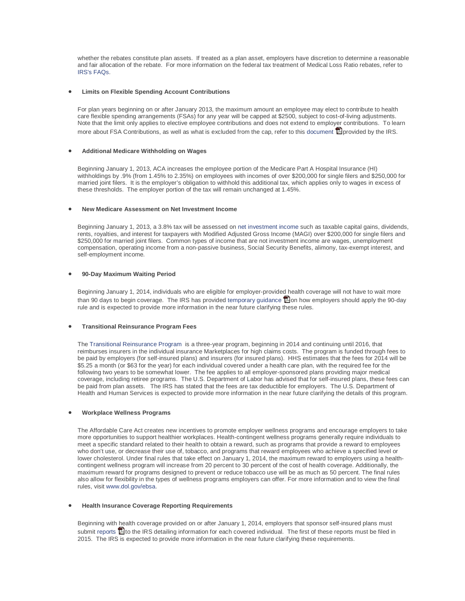whether the rebates constitute plan assets. If treated as a plan asset, employers have discretion to determine a reasonable and fair allocation of the rebate. For more information on the federal tax treatment of Medical Loss Ratio rebates, refer to [IRS's FAQs.](http://www.irs.gov/uac/Medical-Loss-Ratio-(MLR)-FAQs)

#### • **Limits on Flexible Spending Account Contributions**

For plan years beginning on or after January 2013, the maximum amount an employee may elect to contribute to health care flexible spending arrangements (FSAs) for any year will be capped at \$2500, subject to cost-of-living adjustments. Note that the limit only applies to elective employee contributions and does not extend to employer contributions. To learn more about FSA Contributions, as well as what is excluded from the cap, refer to this [document](http://www.irs.gov/pub/irs-drop/n-12-40.pdf)  $\Box$  [p](http://www.adobe.com/products/acrobat/readstep2.html)rovided by the IRS.

#### • **Additional Medicare Withholding on Wages**

Beginning January 1, 2013, ACA increases the employee portion of the Medicare Part A Hospital Insurance (HI) withholdings by .9% (from 1.45% to 2.35%) on employees with incomes of over \$200,000 for single filers and \$250,000 for married joint filers. It is the employer's obligation to withhold this additional tax, which applies only to wages in excess of these thresholds. The employer portion of the tax will remain unchanged at 1.45%.

#### • **New Medicare Assessment on Net Investment Income**

Beginning January 1, 2013, a 3.8% tax will be assessed o[n net investment income](http://www.irs.gov/uac/Newsroom/Net-Investment-Income-Tax-FAQs) such as taxable capital gains, dividends, rents, royalties, and interest for taxpayers with Modified Adjusted Gross Income (MAGI) over \$200,000 for single filers and \$250,000 for married joint filers. Common types of income that are not investment income are wages, unemployment compensation, operating income from a non-passive business, Social Security Benefits, alimony, tax-exempt interest, and self-employment income.

#### • **90-Day Maximum Waiting Period**

Beginning January 1, 2014, individuals who are eligible for employer-provided health coverage will not have to wait more than 90 days to begin coverage. The IRS has provided [temporary guidance](http://www.irs.gov/pub/irs-drop/n-12-59.pdf)  $\Box$  $\Box$  $\Box$  on how employers should apply the 90-day rule and is expected to provide more information in the near future clarifying these rules.

#### • **Transitional Reinsurance Program Fees**

The [Transitional Reinsurance Program](http://www.irs.gov/uac/Newsroom/ACA-Section-1341-Transitional-Reinsurance-Program-FAQs) is a three-year program, beginning in 2014 and continuing until 2016, that reimburses insurers in the individual insurance Marketplaces for high claims costs. The program is funded through fees to be paid by employers (for self-insured plans) and insurers (for insured plans). HHS estimates that the fees for 2014 will be \$5.25 a month (or \$63 for the year) for each individual covered under a health care plan, with the required fee for the following two years to be somewhat lower. The fee applies to all employer-sponsored plans providing major medical coverage, including retiree programs. The U.S. Department of Labor has advised that for self-insured plans, these fees can be paid from plan assets. The IRS has stated that the fees are tax deductible for employers. The U.S. Department of Health and Human Services is expected to provide more information in the near future clarifying the details of this program.

#### • **Workplace Wellness Programs**

The Affordable Care Act creates new incentives to promote employer wellness programs and encourage employers to take more opportunities to support healthier workplaces. Health-contingent wellness programs generally require individuals to meet a specific standard related to their health to obtain a reward, such as programs that provide a reward to employees who don't use, or decrease their use of, tobacco, and programs that reward employees who achieve a specified level or lower cholesterol. Under final rules that take effect on January 1, 2014, the maximum reward to employers using a healthcontingent wellness program will increase from 20 percent to 30 percent of the cost of health coverage. Additionally, the maximum reward for programs designed to prevent or reduce tobacco use will be as much as 50 percent. The final rules also allow for flexibility in the types of wellness programs employers can offer. For more information and to view the final rules, visit [www.dol.gov/ebsa.](http://www.dol.gov/ebsa)

#### • **Health Insurance Coverage Reporting Requirements**

Beginning with health coverage provided on or after January 1, 2014, employers that sponsor self-insured plans must submit [reports](http://www.irs.gov/pub/irs-drop/n-12-32.pdf)  $\Box$  [t](http://www.adobe.com/products/acrobat/readstep2.html)o the IRS detailing information for each covered individual. The first of these reports must be filed in 2015. The IRS is expected to provide more information in the near future clarifying these requirements.